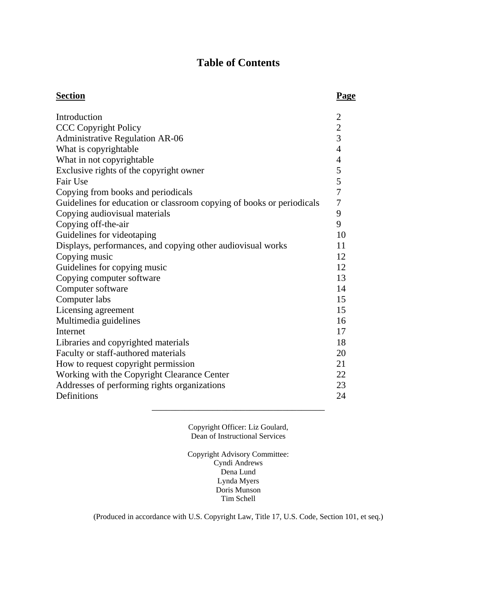# **Table of Contents**

| <b>Section</b>                                                        | <b>Page</b>    |
|-----------------------------------------------------------------------|----------------|
| Introduction                                                          | $\overline{2}$ |
| <b>CCC Copyright Policy</b>                                           | $\frac{2}{3}$  |
| <b>Administrative Regulation AR-06</b>                                |                |
| What is copyrightable                                                 | $\overline{4}$ |
| What in not copyrightable                                             | $\overline{4}$ |
| Exclusive rights of the copyright owner                               | 5              |
| Fair Use                                                              | 5              |
| Copying from books and periodicals                                    | $\overline{7}$ |
| Guidelines for education or classroom copying of books or periodicals | $\tau$         |
| Copying audiovisual materials                                         | 9              |
| Copying off-the-air                                                   | 9              |
| Guidelines for videotaping                                            | 10             |
| Displays, performances, and copying other audiovisual works           | 11             |
| Copying music                                                         | 12             |
| Guidelines for copying music                                          | 12             |
| Copying computer software                                             | 13             |
| Computer software                                                     | 14             |
| Computer labs                                                         | 15             |
| Licensing agreement                                                   | 15             |
| Multimedia guidelines                                                 | 16             |
| Internet                                                              | 17             |
| Libraries and copyrighted materials                                   | 18             |
| Faculty or staff-authored materials                                   | 20             |
| How to request copyright permission                                   | 21             |
| Working with the Copyright Clearance Center                           | 22             |
| Addresses of performing rights organizations                          | 23             |
| Definitions                                                           | 24             |

Copyright Officer: Liz Goulard, Dean of Instructional Services

\_\_\_\_\_\_\_\_\_\_\_\_\_\_\_\_\_\_\_\_\_\_\_\_\_\_\_\_\_\_\_\_\_\_\_\_\_

Copyright Advisory Committee: Cyndi Andrews Dena Lund Lynda Myers Doris Munson Tim Schell

(Produced in accordance with U.S. Copyright Law, Title 17, U.S. Code, Section 101, et seq.)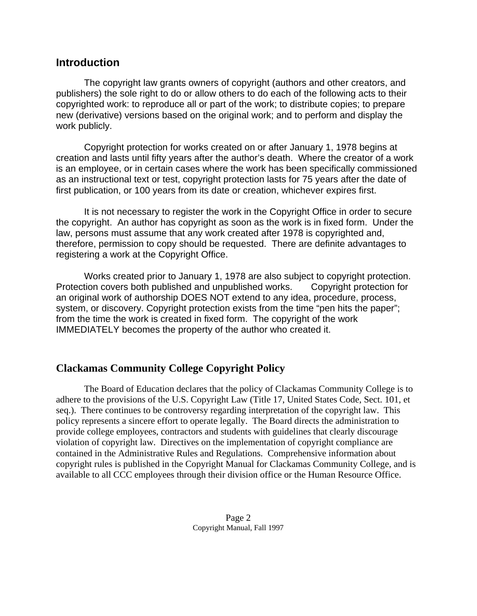### **Introduction**

 The copyright law grants owners of copyright (authors and other creators, and publishers) the sole right to do or allow others to do each of the following acts to their copyrighted work: to reproduce all or part of the work; to distribute copies; to prepare new (derivative) versions based on the original work; and to perform and display the work publicly.

 Copyright protection for works created on or after January 1, 1978 begins at creation and lasts until fifty years after the author's death. Where the creator of a work is an employee, or in certain cases where the work has been specifically commissioned as an instructional text or test, copyright protection lasts for 75 years after the date of first publication, or 100 years from its date or creation, whichever expires first.

 It is not necessary to register the work in the Copyright Office in order to secure the copyright. An author has copyright as soon as the work is in fixed form. Under the law, persons must assume that any work created after 1978 is copyrighted and, therefore, permission to copy should be requested. There are definite advantages to registering a work at the Copyright Office.

 Works created prior to January 1, 1978 are also subject to copyright protection. Protection covers both published and unpublished works. Copyright protection for an original work of authorship DOES NOT extend to any idea, procedure, process, system, or discovery. Copyright protection exists from the time "pen hits the paper"; from the time the work is created in fixed form. The copyright of the work IMMEDIATELY becomes the property of the author who created it.

## **Clackamas Community College Copyright Policy**

 The Board of Education declares that the policy of Clackamas Community College is to adhere to the provisions of the U.S. Copyright Law (Title 17, United States Code, Sect. 101, et seq.). There continues to be controversy regarding interpretation of the copyright law. This policy represents a sincere effort to operate legally. The Board directs the administration to provide college employees, contractors and students with guidelines that clearly discourage violation of copyright law. Directives on the implementation of copyright compliance are contained in the Administrative Rules and Regulations. Comprehensive information about copyright rules is published in the Copyright Manual for Clackamas Community College, and is available to all CCC employees through their division office or the Human Resource Office.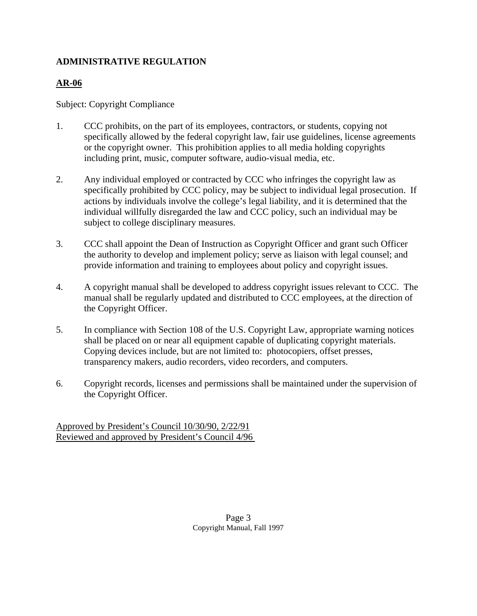### **ADMINISTRATIVE REGULATION**

## **AR-06**

### Subject: Copyright Compliance

- 1. CCC prohibits, on the part of its employees, contractors, or students, copying not specifically allowed by the federal copyright law, fair use guidelines, license agreements or the copyright owner. This prohibition applies to all media holding copyrights including print, music, computer software, audio-visual media, etc.
- 2. Any individual employed or contracted by CCC who infringes the copyright law as specifically prohibited by CCC policy, may be subject to individual legal prosecution. If actions by individuals involve the college's legal liability, and it is determined that the individual willfully disregarded the law and CCC policy, such an individual may be subject to college disciplinary measures.
- 3. CCC shall appoint the Dean of Instruction as Copyright Officer and grant such Officer the authority to develop and implement policy; serve as liaison with legal counsel; and provide information and training to employees about policy and copyright issues.
- 4. A copyright manual shall be developed to address copyright issues relevant to CCC. The manual shall be regularly updated and distributed to CCC employees, at the direction of the Copyright Officer.
- 5. In compliance with Section 108 of the U.S. Copyright Law, appropriate warning notices shall be placed on or near all equipment capable of duplicating copyright materials. Copying devices include, but are not limited to: photocopiers, offset presses, transparency makers, audio recorders, video recorders, and computers.
- 6. Copyright records, licenses and permissions shall be maintained under the supervision of the Copyright Officer.

Approved by President's Council 10/30/90, 2/22/91 Reviewed and approved by President's Council 4/96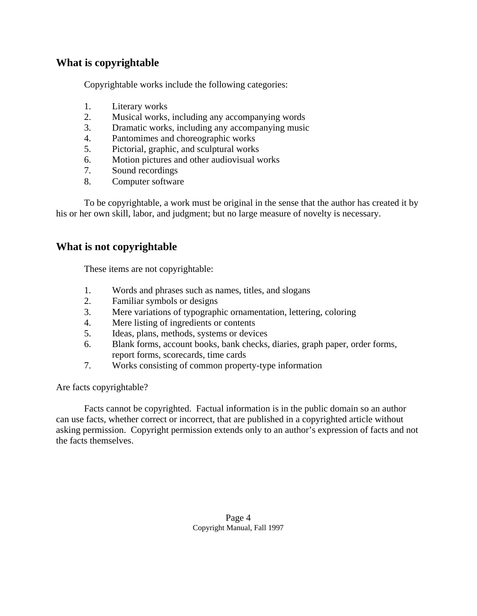## **What is copyrightable**

Copyrightable works include the following categories:

- 1. Literary works
- 2. Musical works, including any accompanying words
- 3. Dramatic works, including any accompanying music
- 4. Pantomimes and choreographic works
- 5. Pictorial, graphic, and sculptural works
- 6. Motion pictures and other audiovisual works
- 7. Sound recordings
- 8. Computer software

 To be copyrightable, a work must be original in the sense that the author has created it by his or her own skill, labor, and judgment; but no large measure of novelty is necessary.

### **What is not copyrightable**

These items are not copyrightable:

- 1. Words and phrases such as names, titles, and slogans
- 2. Familiar symbols or designs
- 3. Mere variations of typographic ornamentation, lettering, coloring
- 4. Mere listing of ingredients or contents
- 5. Ideas, plans, methods, systems or devices
- 6. Blank forms, account books, bank checks, diaries, graph paper, order forms, report forms, scorecards, time cards
- 7. Works consisting of common property-type information

Are facts copyrightable?

 Facts cannot be copyrighted. Factual information is in the public domain so an author can use facts, whether correct or incorrect, that are published in a copyrighted article without asking permission. Copyright permission extends only to an author's expression of facts and not the facts themselves.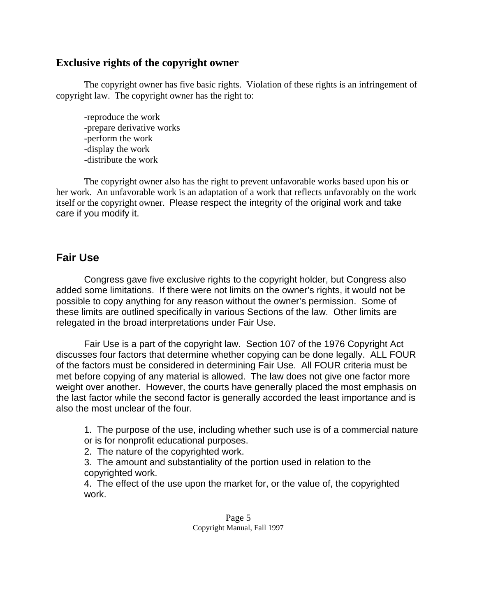### **Exclusive rights of the copyright owner**

 The copyright owner has five basic rights. Violation of these rights is an infringement of copyright law. The copyright owner has the right to:

 -reproduce the work -prepare derivative works -perform the work -display the work -distribute the work

 The copyright owner also has the right to prevent unfavorable works based upon his or her work. An unfavorable work is an adaptation of a work that reflects unfavorably on the work itself or the copyright owner. Please respect the integrity of the original work and take care if you modify it.

# **Fair Use**

 Congress gave five exclusive rights to the copyright holder, but Congress also added some limitations. If there were not limits on the owner's rights, it would not be possible to copy anything for any reason without the owner's permission. Some of these limits are outlined specifically in various Sections of the law. Other limits are relegated in the broad interpretations under Fair Use.

 Fair Use is a part of the copyright law. Section 107 of the 1976 Copyright Act discusses four factors that determine whether copying can be done legally. ALL FOUR of the factors must be considered in determining Fair Use. All FOUR criteria must be met before copying of any material is allowed. The law does not give one factor more weight over another. However, the courts have generally placed the most emphasis on the last factor while the second factor is generally accorded the least importance and is also the most unclear of the four.

1. The purpose of the use, including whether such use is of a commercial nature or is for nonprofit educational purposes.

2. The nature of the copyrighted work.

3. The amount and substantiality of the portion used in relation to the copyrighted work.

4. The effect of the use upon the market for, or the value of, the copyrighted work.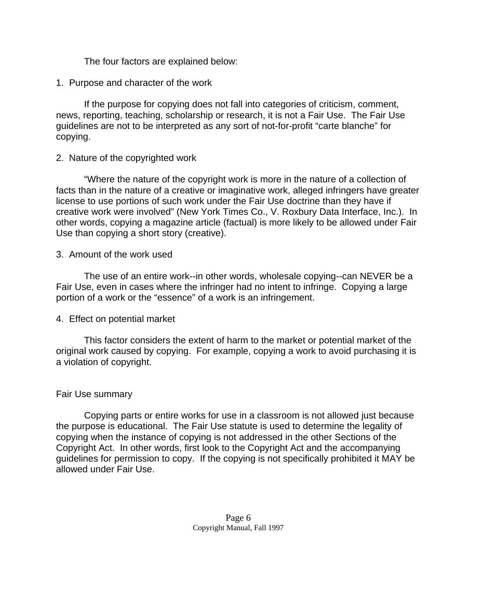The four factors are explained below:

1. Purpose and character of the work

 If the purpose for copying does not fall into categories of criticism, comment, news, reporting, teaching, scholarship or research, it is not a Fair Use. The Fair Use guidelines are not to be interpreted as any sort of not-for-profit "carte blanche" for copying.

### 2. Nature of the copyrighted work

 "Where the nature of the copyright work is more in the nature of a collection of facts than in the nature of a creative or imaginative work, alleged infringers have greater license to use portions of such work under the Fair Use doctrine than they have if creative work were involved" (New York Times Co., V. Roxbury Data Interface, Inc.). In other words, copying a magazine article (factual) is more likely to be allowed under Fair Use than copying a short story (creative).

### 3. Amount of the work used

 The use of an entire work--in other words, wholesale copying--can NEVER be a Fair Use, even in cases where the infringer had no intent to infringe. Copying a large portion of a work or the "essence" of a work is an infringement.

### 4. Effect on potential market

 This factor considers the extent of harm to the market or potential market of the original work caused by copying. For example, copying a work to avoid purchasing it is a violation of copyright.

### Fair Use summary

 Copying parts or entire works for use in a classroom is not allowed just because the purpose is educational. The Fair Use statute is used to determine the legality of copying when the instance of copying is not addressed in the other Sections of the Copyright Act. In other words, first look to the Copyright Act and the accompanying guidelines for permission to copy. If the copying is not specifically prohibited it MAY be allowed under Fair Use.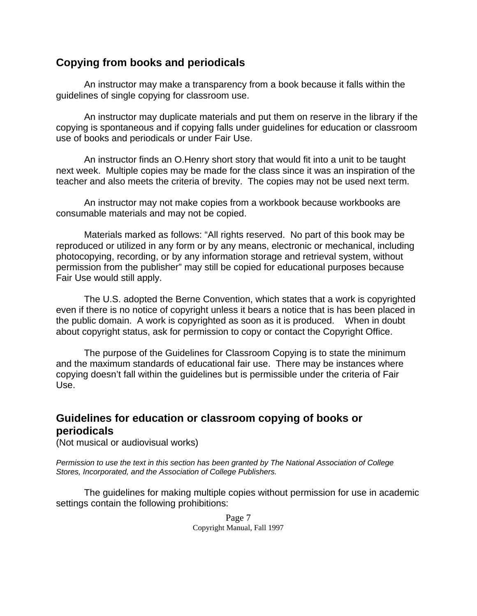## **Copying from books and periodicals**

 An instructor may make a transparency from a book because it falls within the guidelines of single copying for classroom use.

 An instructor may duplicate materials and put them on reserve in the library if the copying is spontaneous and if copying falls under guidelines for education or classroom use of books and periodicals or under Fair Use.

 An instructor finds an O.Henry short story that would fit into a unit to be taught next week. Multiple copies may be made for the class since it was an inspiration of the teacher and also meets the criteria of brevity. The copies may not be used next term.

 An instructor may not make copies from a workbook because workbooks are consumable materials and may not be copied.

 Materials marked as follows: "All rights reserved. No part of this book may be reproduced or utilized in any form or by any means, electronic or mechanical, including photocopying, recording, or by any information storage and retrieval system, without permission from the publisher" may still be copied for educational purposes because Fair Use would still apply.

 The U.S. adopted the Berne Convention, which states that a work is copyrighted even if there is no notice of copyright unless it bears a notice that is has been placed in the public domain. A work is copyrighted as soon as it is produced. When in doubt about copyright status, ask for permission to copy or contact the Copyright Office.

 The purpose of the Guidelines for Classroom Copying is to state the minimum and the maximum standards of educational fair use. There may be instances where copying doesn't fall within the guidelines but is permissible under the criteria of Fair Use.

# **Guidelines for education or classroom copying of books or periodicals**

(Not musical or audiovisual works)

*Permission to use the text in this section has been granted by The National Association of College Stores, Incorporated, and the Association of College Publishers.*

 The guidelines for making multiple copies without permission for use in academic settings contain the following prohibitions:

> Page 7 Copyright Manual, Fall 1997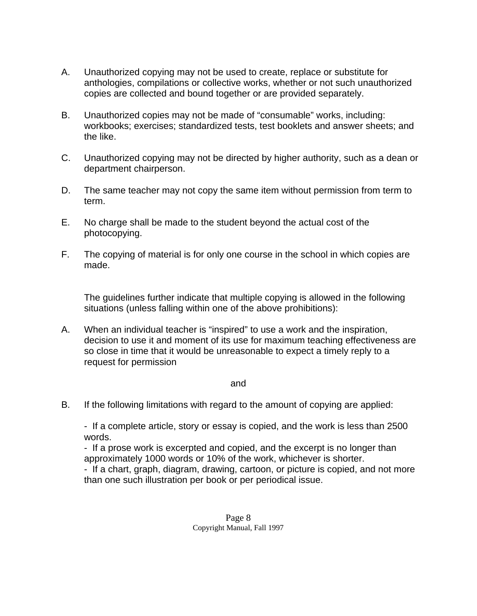- A. Unauthorized copying may not be used to create, replace or substitute for anthologies, compilations or collective works, whether or not such unauthorized copies are collected and bound together or are provided separately.
- B. Unauthorized copies may not be made of "consumable" works, including: workbooks; exercises; standardized tests, test booklets and answer sheets; and the like.
- C. Unauthorized copying may not be directed by higher authority, such as a dean or department chairperson.
- D. The same teacher may not copy the same item without permission from term to term.
- E. No charge shall be made to the student beyond the actual cost of the photocopying.
- F. The copying of material is for only one course in the school in which copies are made.

The guidelines further indicate that multiple copying is allowed in the following situations (unless falling within one of the above prohibitions):

 A. When an individual teacher is "inspired" to use a work and the inspiration, decision to use it and moment of its use for maximum teaching effectiveness are so close in time that it would be unreasonable to expect a timely reply to a request for permission

#### and

B. If the following limitations with regard to the amount of copying are applied:

- If a complete article, story or essay is copied, and the work is less than 2500 words.

 - If a prose work is excerpted and copied, and the excerpt is no longer than approximately 1000 words or 10% of the work, whichever is shorter.

- If a chart, graph, diagram, drawing, cartoon, or picture is copied, and not more than one such illustration per book or per periodical issue.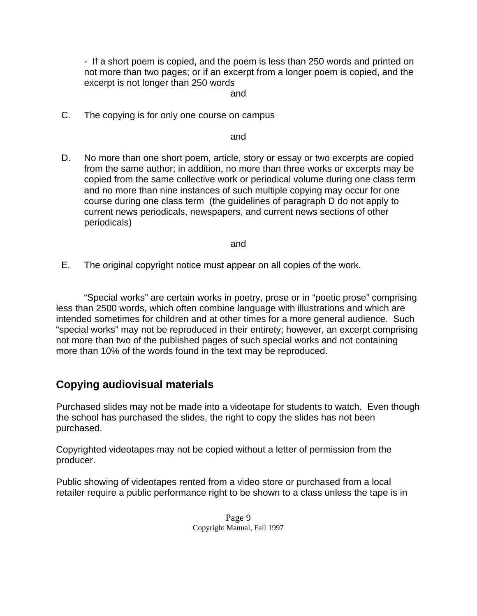- If a short poem is copied, and the poem is less than 250 words and printed on not more than two pages; or if an excerpt from a longer poem is copied, and the excerpt is not longer than 250 words

#### and

C. The copying is for only one course on campus

and

 D. No more than one short poem, article, story or essay or two excerpts are copied from the same author; in addition, no more than three works or excerpts may be copied from the same collective work or periodical volume during one class term and no more than nine instances of such multiple copying may occur for one course during one class term (the guidelines of paragraph D do not apply to current news periodicals, newspapers, and current news sections of other periodicals)

and

E. The original copyright notice must appear on all copies of the work.

 "Special works" are certain works in poetry, prose or in "poetic prose" comprising less than 2500 words, which often combine language with illustrations and which are intended sometimes for children and at other times for a more general audience. Such "special works" may not be reproduced in their entirety; however, an excerpt comprising not more than two of the published pages of such special works and not containing more than 10% of the words found in the text may be reproduced.

# **Copying audiovisual materials**

Purchased slides may not be made into a videotape for students to watch. Even though the school has purchased the slides, the right to copy the slides has not been purchased.

Copyrighted videotapes may not be copied without a letter of permission from the producer.

Public showing of videotapes rented from a video store or purchased from a local retailer require a public performance right to be shown to a class unless the tape is in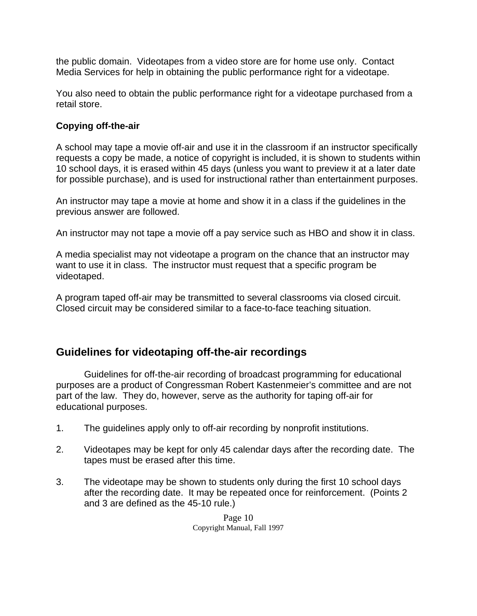the public domain. Videotapes from a video store are for home use only. Contact Media Services for help in obtaining the public performance right for a videotape.

You also need to obtain the public performance right for a videotape purchased from a retail store.

### **Copying off-the-air**

A school may tape a movie off-air and use it in the classroom if an instructor specifically requests a copy be made, a notice of copyright is included, it is shown to students within 10 school days, it is erased within 45 days (unless you want to preview it at a later date for possible purchase), and is used for instructional rather than entertainment purposes.

An instructor may tape a movie at home and show it in a class if the guidelines in the previous answer are followed.

An instructor may not tape a movie off a pay service such as HBO and show it in class.

A media specialist may not videotape a program on the chance that an instructor may want to use it in class. The instructor must request that a specific program be videotaped.

A program taped off-air may be transmitted to several classrooms via closed circuit. Closed circuit may be considered similar to a face-to-face teaching situation.

# **Guidelines for videotaping off-the-air recordings**

 Guidelines for off-the-air recording of broadcast programming for educational purposes are a product of Congressman Robert Kastenmeier's committee and are not part of the law. They do, however, serve as the authority for taping off-air for educational purposes.

- 1. The guidelines apply only to off-air recording by nonprofit institutions.
- 2. Videotapes may be kept for only 45 calendar days after the recording date. The tapes must be erased after this time.
- 3. The videotape may be shown to students only during the first 10 school days after the recording date. It may be repeated once for reinforcement. (Points 2 and 3 are defined as the 45-10 rule.)

Page 10 Copyright Manual, Fall 1997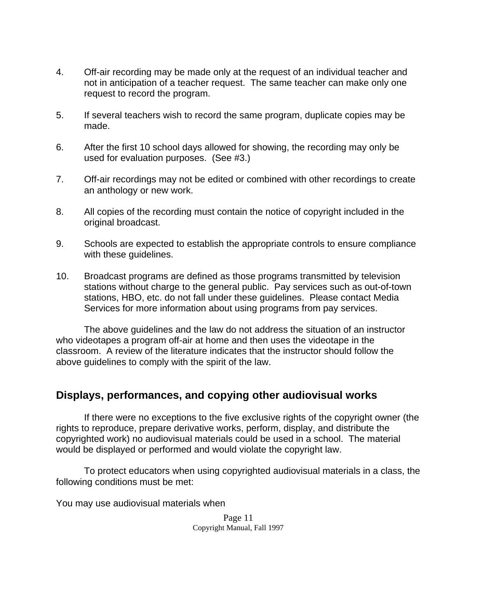- 4. Off-air recording may be made only at the request of an individual teacher and not in anticipation of a teacher request. The same teacher can make only one request to record the program.
- 5. If several teachers wish to record the same program, duplicate copies may be made.
- 6. After the first 10 school days allowed for showing, the recording may only be used for evaluation purposes. (See #3.)
- 7. Off-air recordings may not be edited or combined with other recordings to create an anthology or new work.
- 8. All copies of the recording must contain the notice of copyright included in the original broadcast.
- 9. Schools are expected to establish the appropriate controls to ensure compliance with these guidelines.
- 10. Broadcast programs are defined as those programs transmitted by television stations without charge to the general public. Pay services such as out-of-town stations, HBO, etc. do not fall under these guidelines. Please contact Media Services for more information about using programs from pay services.

 The above guidelines and the law do not address the situation of an instructor who videotapes a program off-air at home and then uses the videotape in the classroom. A review of the literature indicates that the instructor should follow the above guidelines to comply with the spirit of the law.

# **Displays, performances, and copying other audiovisual works**

 If there were no exceptions to the five exclusive rights of the copyright owner (the rights to reproduce, prepare derivative works, perform, display, and distribute the copyrighted work) no audiovisual materials could be used in a school. The material would be displayed or performed and would violate the copyright law.

 To protect educators when using copyrighted audiovisual materials in a class, the following conditions must be met:

You may use audiovisual materials when

Page 11 Copyright Manual, Fall 1997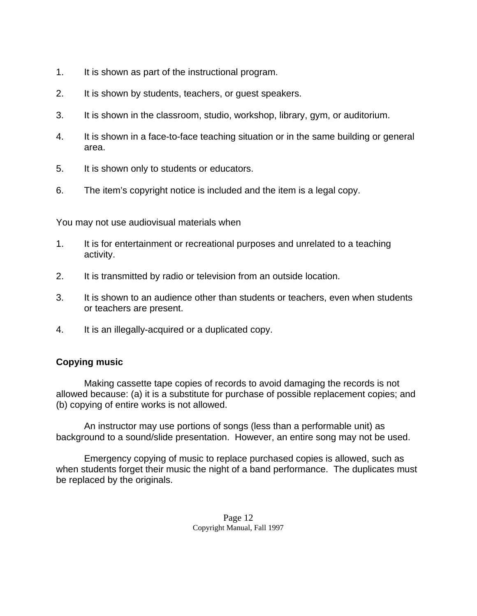- 1. It is shown as part of the instructional program.
- 2. It is shown by students, teachers, or guest speakers.
- 3. It is shown in the classroom, studio, workshop, library, gym, or auditorium.
- 4. It is shown in a face-to-face teaching situation or in the same building or general area.
- 5. It is shown only to students or educators.
- 6. The item's copyright notice is included and the item is a legal copy.

You may not use audiovisual materials when

- 1. It is for entertainment or recreational purposes and unrelated to a teaching activity.
- 2. It is transmitted by radio or television from an outside location.
- 3. It is shown to an audience other than students or teachers, even when students or teachers are present.
- 4. It is an illegally-acquired or a duplicated copy.

## **Copying music**

 Making cassette tape copies of records to avoid damaging the records is not allowed because: (a) it is a substitute for purchase of possible replacement copies; and (b) copying of entire works is not allowed.

 An instructor may use portions of songs (less than a performable unit) as background to a sound/slide presentation. However, an entire song may not be used.

 Emergency copying of music to replace purchased copies is allowed, such as when students forget their music the night of a band performance. The duplicates must be replaced by the originals.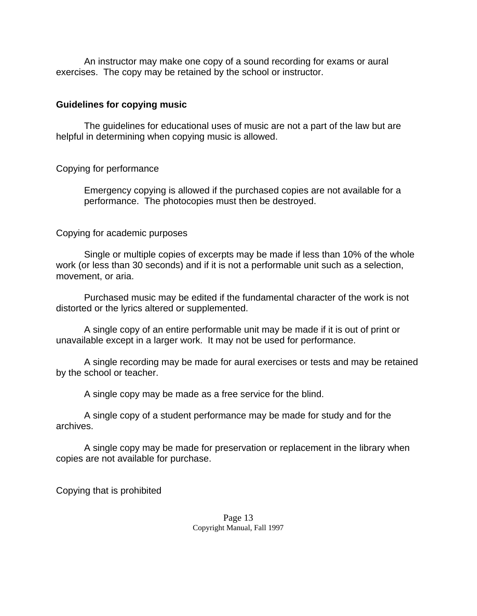An instructor may make one copy of a sound recording for exams or aural exercises. The copy may be retained by the school or instructor.

#### **Guidelines for copying music**

 The guidelines for educational uses of music are not a part of the law but are helpful in determining when copying music is allowed.

#### Copying for performance

 Emergency copying is allowed if the purchased copies are not available for a performance. The photocopies must then be destroyed.

#### Copying for academic purposes

 Single or multiple copies of excerpts may be made if less than 10% of the whole work (or less than 30 seconds) and if it is not a performable unit such as a selection, movement, or aria.

 Purchased music may be edited if the fundamental character of the work is not distorted or the lyrics altered or supplemented.

 A single copy of an entire performable unit may be made if it is out of print or unavailable except in a larger work. It may not be used for performance.

 A single recording may be made for aural exercises or tests and may be retained by the school or teacher.

A single copy may be made as a free service for the blind.

 A single copy of a student performance may be made for study and for the archives.

 A single copy may be made for preservation or replacement in the library when copies are not available for purchase.

Copying that is prohibited

Page 13 Copyright Manual, Fall 1997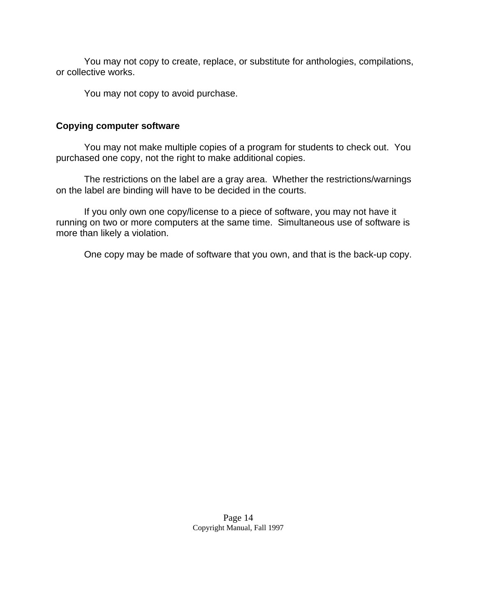You may not copy to create, replace, or substitute for anthologies, compilations, or collective works.

You may not copy to avoid purchase.

#### **Copying computer software**

 You may not make multiple copies of a program for students to check out. You purchased one copy, not the right to make additional copies.

 The restrictions on the label are a gray area. Whether the restrictions/warnings on the label are binding will have to be decided in the courts.

 If you only own one copy/license to a piece of software, you may not have it running on two or more computers at the same time. Simultaneous use of software is more than likely a violation.

One copy may be made of software that you own, and that is the back-up copy.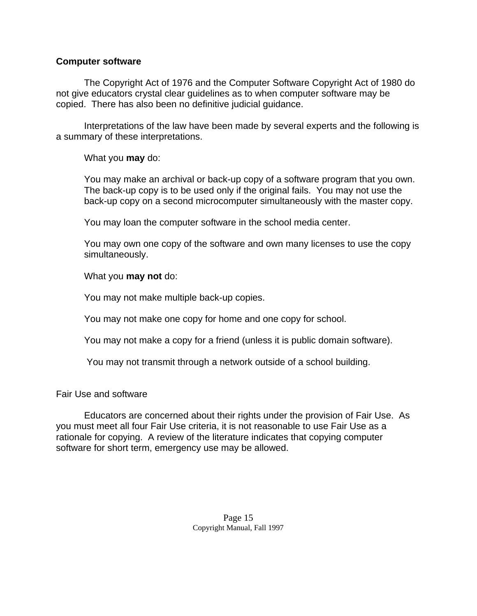#### **Computer software**

 The Copyright Act of 1976 and the Computer Software Copyright Act of 1980 do not give educators crystal clear guidelines as to when computer software may be copied. There has also been no definitive judicial guidance.

 Interpretations of the law have been made by several experts and the following is a summary of these interpretations.

What you **may** do:

You may make an archival or back-up copy of a software program that you own. The back-up copy is to be used only if the original fails. You may not use the back-up copy on a second microcomputer simultaneously with the master copy.

You may loan the computer software in the school media center.

You may own one copy of the software and own many licenses to use the copy simultaneously.

### What you **may not** do:

You may not make multiple back-up copies.

You may not make one copy for home and one copy for school.

You may not make a copy for a friend (unless it is public domain software).

You may not transmit through a network outside of a school building.

Fair Use and software

 Educators are concerned about their rights under the provision of Fair Use. As you must meet all four Fair Use criteria, it is not reasonable to use Fair Use as a rationale for copying. A review of the literature indicates that copying computer software for short term, emergency use may be allowed.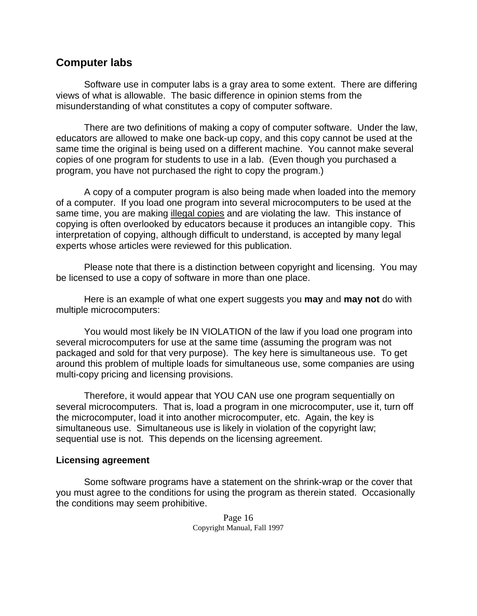## **Computer labs**

 Software use in computer labs is a gray area to some extent. There are differing views of what is allowable. The basic difference in opinion stems from the misunderstanding of what constitutes a copy of computer software.

 There are two definitions of making a copy of computer software. Under the law, educators are allowed to make one back-up copy, and this copy cannot be used at the same time the original is being used on a different machine. You cannot make several copies of one program for students to use in a lab. (Even though you purchased a program, you have not purchased the right to copy the program.)

 A copy of a computer program is also being made when loaded into the memory of a computer. If you load one program into several microcomputers to be used at the same time, you are making illegal copies and are violating the law. This instance of copying is often overlooked by educators because it produces an intangible copy. This interpretation of copying, although difficult to understand, is accepted by many legal experts whose articles were reviewed for this publication.

 Please note that there is a distinction between copyright and licensing. You may be licensed to use a copy of software in more than one place.

 Here is an example of what one expert suggests you **may** and **may not** do with multiple microcomputers:

 You would most likely be IN VIOLATION of the law if you load one program into several microcomputers for use at the same time (assuming the program was not packaged and sold for that very purpose). The key here is simultaneous use. To get around this problem of multiple loads for simultaneous use, some companies are using multi-copy pricing and licensing provisions.

 Therefore, it would appear that YOU CAN use one program sequentially on several microcomputers. That is, load a program in one microcomputer, use it, turn off the microcomputer, load it into another microcomputer, etc. Again, the key is simultaneous use. Simultaneous use is likely in violation of the copyright law; sequential use is not. This depends on the licensing agreement.

#### **Licensing agreement**

 Some software programs have a statement on the shrink-wrap or the cover that you must agree to the conditions for using the program as therein stated. Occasionally the conditions may seem prohibitive.

> Page 16 Copyright Manual, Fall 1997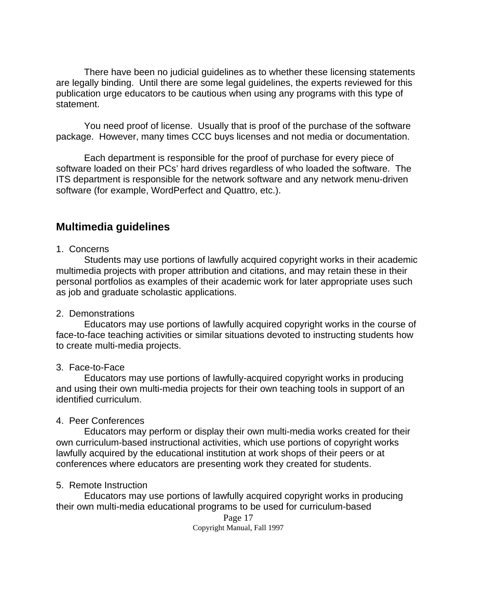There have been no judicial guidelines as to whether these licensing statements are legally binding. Until there are some legal guidelines, the experts reviewed for this publication urge educators to be cautious when using any programs with this type of statement.

 You need proof of license. Usually that is proof of the purchase of the software package. However, many times CCC buys licenses and not media or documentation.

 Each department is responsible for the proof of purchase for every piece of software loaded on their PCs' hard drives regardless of who loaded the software. The ITS department is responsible for the network software and any network menu-driven software (for example, WordPerfect and Quattro, etc.).

# **Multimedia guidelines**

#### 1. Concerns

 Students may use portions of lawfully acquired copyright works in their academic multimedia projects with proper attribution and citations, and may retain these in their personal portfolios as examples of their academic work for later appropriate uses such as job and graduate scholastic applications.

#### 2. Demonstrations

 Educators may use portions of lawfully acquired copyright works in the course of face-to-face teaching activities or similar situations devoted to instructing students how to create multi-media projects.

#### 3. Face-to-Face

 Educators may use portions of lawfully-acquired copyright works in producing and using their own multi-media projects for their own teaching tools in support of an identified curriculum.

#### 4. Peer Conferences

 Educators may perform or display their own multi-media works created for their own curriculum-based instructional activities, which use portions of copyright works lawfully acquired by the educational institution at work shops of their peers or at conferences where educators are presenting work they created for students.

#### 5. Remote Instruction

 Educators may use portions of lawfully acquired copyright works in producing their own multi-media educational programs to be used for curriculum-based

> Page 17 Copyright Manual, Fall 1997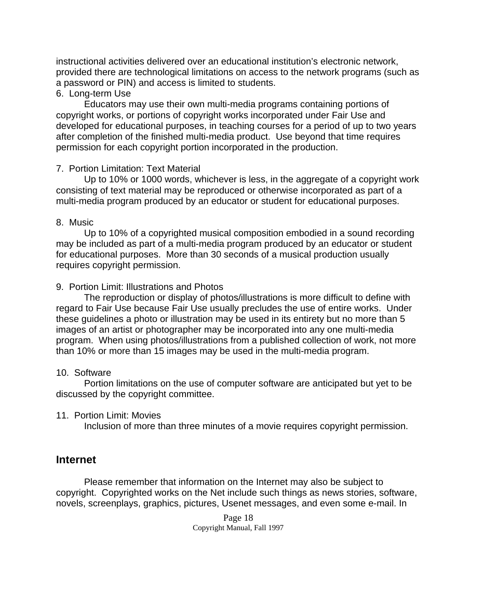instructional activities delivered over an educational institution's electronic network, provided there are technological limitations on access to the network programs (such as a password or PIN) and access is limited to students.

#### 6. Long-term Use

 Educators may use their own multi-media programs containing portions of copyright works, or portions of copyright works incorporated under Fair Use and developed for educational purposes, in teaching courses for a period of up to two years after completion of the finished multi-media product. Use beyond that time requires permission for each copyright portion incorporated in the production.

### 7. Portion Limitation: Text Material

 Up to 10% or 1000 words, whichever is less, in the aggregate of a copyright work consisting of text material may be reproduced or otherwise incorporated as part of a multi-media program produced by an educator or student for educational purposes.

### 8. Music

 Up to 10% of a copyrighted musical composition embodied in a sound recording may be included as part of a multi-media program produced by an educator or student for educational purposes. More than 30 seconds of a musical production usually requires copyright permission.

### 9. Portion Limit: Illustrations and Photos

 The reproduction or display of photos/illustrations is more difficult to define with regard to Fair Use because Fair Use usually precludes the use of entire works. Under these guidelines a photo or illustration may be used in its entirety but no more than 5 images of an artist or photographer may be incorporated into any one multi-media program. When using photos/illustrations from a published collection of work, not more than 10% or more than 15 images may be used in the multi-media program.

### 10. Software

 Portion limitations on the use of computer software are anticipated but yet to be discussed by the copyright committee.

#### 11. Portion Limit: Movies

Inclusion of more than three minutes of a movie requires copyright permission.

## **Internet**

 Please remember that information on the Internet may also be subject to copyright. Copyrighted works on the Net include such things as news stories, software, novels, screenplays, graphics, pictures, Usenet messages, and even some e-mail. In

> Page 18 Copyright Manual, Fall 1997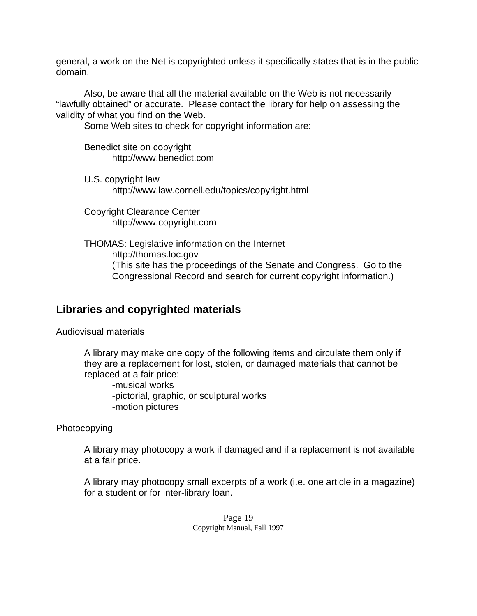general, a work on the Net is copyrighted unless it specifically states that is in the public domain.

 Also, be aware that all the material available on the Web is not necessarily "lawfully obtained" or accurate. Please contact the library for help on assessing the validity of what you find on the Web.

Some Web sites to check for copyright information are:

Benedict site on copyright http://www.benedict.com

U.S. copyright law http://www.law.cornell.edu/topics/copyright.html

Copyright Clearance Center http://www.copyright.com

THOMAS: Legislative information on the Internet http://thomas.loc.gov (This site has the proceedings of the Senate and Congress. Go to the Congressional Record and search for current copyright information.)

# **Libraries and copyrighted materials**

Audiovisual materials

A library may make one copy of the following items and circulate them only if they are a replacement for lost, stolen, or damaged materials that cannot be replaced at a fair price:

-musical works -pictorial, graphic, or sculptural works -motion pictures

**Photocopying** 

A library may photocopy a work if damaged and if a replacement is not available at a fair price.

A library may photocopy small excerpts of a work (i.e. one article in a magazine) for a student or for inter-library loan.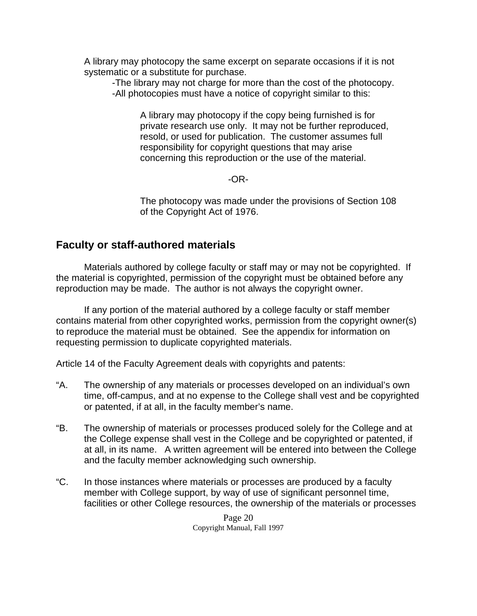A library may photocopy the same excerpt on separate occasions if it is not systematic or a substitute for purchase.

-The library may not charge for more than the cost of the photocopy. -All photocopies must have a notice of copyright similar to this:

 A library may photocopy if the copy being furnished is for private research use only. It may not be further reproduced, resold, or used for publication. The customer assumes full responsibility for copyright questions that may arise concerning this reproduction or the use of the material.

-OR-

 The photocopy was made under the provisions of Section 108 of the Copyright Act of 1976.

## **Faculty or staff-authored materials**

 Materials authored by college faculty or staff may or may not be copyrighted. If the material is copyrighted, permission of the copyright must be obtained before any reproduction may be made. The author is not always the copyright owner.

 If any portion of the material authored by a college faculty or staff member contains material from other copyrighted works, permission from the copyright owner(s) to reproduce the material must be obtained. See the appendix for information on requesting permission to duplicate copyrighted materials.

Article 14 of the Faculty Agreement deals with copyrights and patents:

- "A. The ownership of any materials or processes developed on an individual's own time, off-campus, and at no expense to the College shall vest and be copyrighted or patented, if at all, in the faculty member's name.
- "B. The ownership of materials or processes produced solely for the College and at the College expense shall vest in the College and be copyrighted or patented, if at all, in its name. A written agreement will be entered into between the College and the faculty member acknowledging such ownership.
- "C. In those instances where materials or processes are produced by a faculty member with College support, by way of use of significant personnel time, facilities or other College resources, the ownership of the materials or processes

Page 20 Copyright Manual, Fall 1997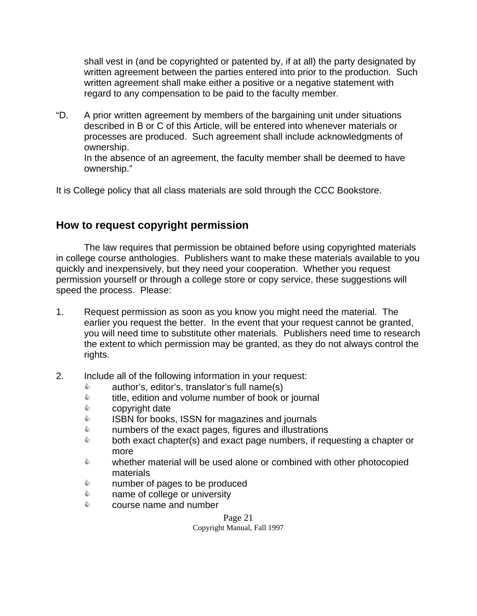shall vest in (and be copyrighted or patented by, if at all) the party designated by written agreement between the parties entered into prior to the production. Such written agreement shall make either a positive or a negative statement with regard to any compensation to be paid to the faculty member.

"D. A prior written agreement by members of the bargaining unit under situations described in B or C of this Article, will be entered into whenever materials or processes are produced. Such agreement shall include acknowledgments of ownership.

In the absence of an agreement, the faculty member shall be deemed to have ownership."

It is College policy that all class materials are sold through the CCC Bookstore.

## **How to request copyright permission**

 The law requires that permission be obtained before using copyrighted materials in college course anthologies. Publishers want to make these materials available to you quickly and inexpensively, but they need your cooperation. Whether you request permission yourself or through a college store or copy service, these suggestions will speed the process. Please:

- 1. Request permission as soon as you know you might need the material. The earlier you request the better. In the event that your request cannot be granted, you will need time to substitute other materials. Publishers need time to research the extent to which permission may be granted, as they do not always control the rights.
- 2. Include all of the following information in your request:
	- $\Diamond$  author's, editor's, translator's full name(s)
	- $\Diamond$  title, edition and volume number of book or journal
	- $\Diamond$  copyright date
	- **&** ISBN for books, ISSN for magazines and journals
	- $\Diamond$  numbers of the exact pages, figures and illustrations
	- $\Diamond$  both exact chapter(s) and exact page numbers, if requesting a chapter or more
	- $\Diamond$  whether material will be used alone or combined with other photocopied materials
	- $\Diamond$  number of pages to be produced
	- $\Diamond$  name of college or university
	- $\Diamond$  course name and number

Page 21 Copyright Manual, Fall 1997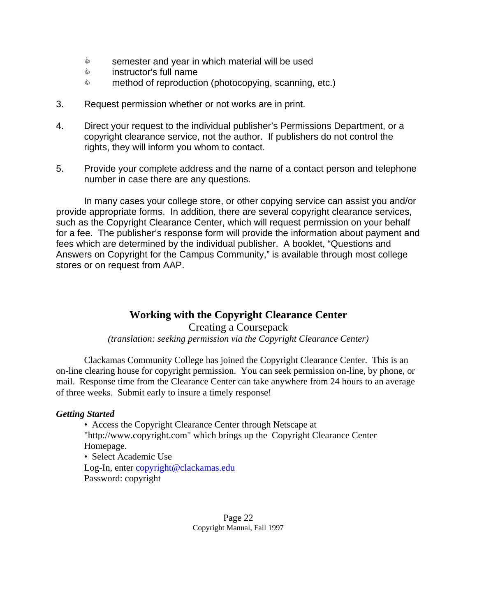- & semester and year in which material will be used
- $\Diamond$  instructor's full name
- $\Diamond$  method of reproduction (photocopying, scanning, etc.)
- 3. Request permission whether or not works are in print.
- 4. Direct your request to the individual publisher's Permissions Department, or a copyright clearance service, not the author. If publishers do not control the rights, they will inform you whom to contact.
- 5. Provide your complete address and the name of a contact person and telephone number in case there are any questions.

 In many cases your college store, or other copying service can assist you and/or provide appropriate forms. In addition, there are several copyright clearance services, such as the Copyright Clearance Center, which will request permission on your behalf for a fee. The publisher's response form will provide the information about payment and fees which are determined by the individual publisher. A booklet, "Questions and Answers on Copyright for the Campus Community," is available through most college stores or on request from AAP.

## **Working with the Copyright Clearance Center**

Creating a Coursepack *(translation: seeking permission via the Copyright Clearance Center)*

 Clackamas Community College has joined the Copyright Clearance Center. This is an on-line clearing house for copyright permission. You can seek permission on-line, by phone, or mail. Response time from the Clearance Center can take anywhere from 24 hours to an average of three weeks. Submit early to insure a timely response!

#### *Getting Started*

• Access the Copyright Clearance Center through Netscape at "http://www.copyright.com" which brings up the Copyright Clearance Center Homepage.

 • Select Academic Use Log-In, enter [copyright@clackamas.edu](mailto:copyright@clackamas.edu) Password: copyright

> Page 22 Copyright Manual, Fall 1997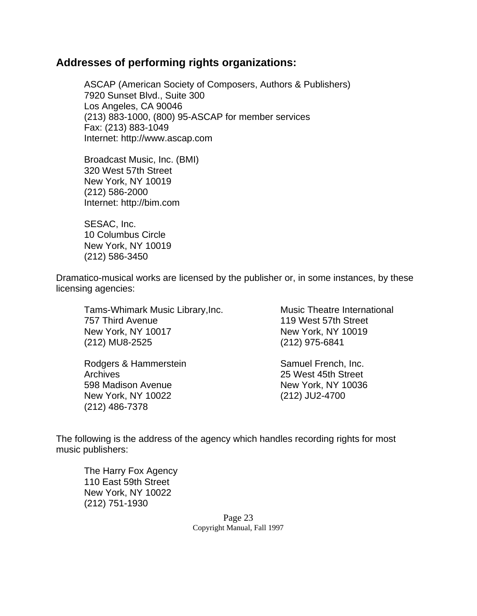## **Addresses of performing rights organizations:**

 ASCAP (American Society of Composers, Authors & Publishers) 7920 Sunset Blvd., Suite 300 Los Angeles, CA 90046 (213) 883-1000, (800) 95-ASCAP for member services Fax: (213) 883-1049 Internet: http://www.ascap.com

Broadcast Music, Inc. (BMI) 320 West 57th Street New York, NY 10019 (212) 586-2000 Internet: http://bim.com

 SESAC, Inc. 10 Columbus Circle New York, NY 10019 (212) 586-3450

Dramatico-musical works are licensed by the publisher or, in some instances, by these licensing agencies:

 Tams-Whimark Music Library,Inc. 757 Third Avenue New York, NY 10017 (212) MU8-2525

Rodgers & Hammerstein Archives 598 Madison Avenue New York, NY 10022 (212) 486-7378

 Music Theatre International 119 West 57th Street New York, NY 10019 (212) 975-6841

 Samuel French, Inc. 25 West 45th Street New York, NY 10036 (212) JU2-4700

The following is the address of the agency which handles recording rights for most music publishers:

 The Harry Fox Agency 110 East 59th Street New York, NY 10022 (212) 751-1930

> Page 23 Copyright Manual, Fall 1997